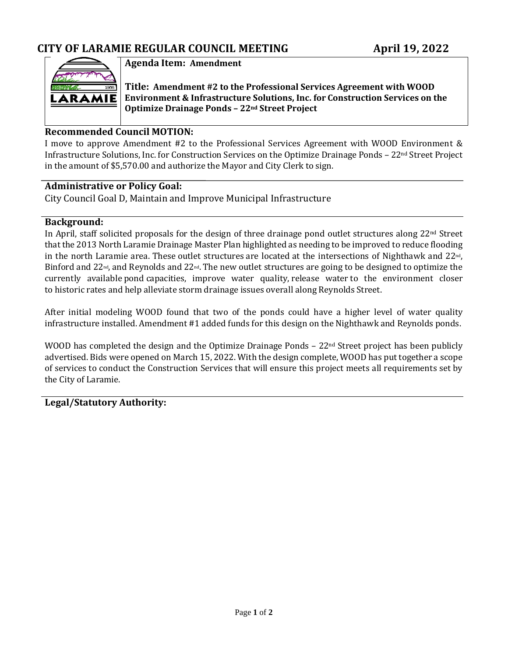

### **Agenda Item: Amendment**

**Title: Amendment #2 to the Professional Services Agreement with WOOD Environment & Infrastructure Solutions, Inc. for Construction Services on the Optimize Drainage Ponds – 22nd Street Project**

#### **Recommended Council MOTION:**

I move to approve Amendment #2 to the Professional Services Agreement with WOOD Environment & Infrastructure Solutions, Inc. for Construction Services on the Optimize Drainage Ponds – 22<sup>nd</sup> Street Project in the amount of \$5,570.00 and authorize the Mayor and City Clerk to sign.

#### **Administrative or Policy Goal:**

City Council Goal D, Maintain and Improve Municipal Infrastructure

#### **Background:**

In April, staff solicited proposals for the design of three drainage pond outlet structures along 22nd Street that the 2013 North Laramie Drainage Master Plan highlighted as needing to be improved to reduce flooding in the north Laramie area. These outlet structures are located at the intersections of Nighthawk and 22nd, Binford and 22<sup>nd</sup>, and Reynolds and 22<sup>nd</sup>. The new outlet structures are going to be designed to optimize the currently available pond capacities, improve water quality, release water to the environment closer to historic rates and help alleviate storm drainage issues overall along Reynolds Street.

After initial modeling WOOD found that two of the ponds could have a higher level of water quality infrastructure installed. Amendment #1 added funds for this design on the Nighthawk and Reynolds ponds.

WOOD has completed the design and the Optimize Drainage Ponds  $-22<sup>nd</sup>$  Street project has been publicly advertised. Bids were opened on March 15, 2022. With the design complete, WOOD has put together a scope of services to conduct the Construction Services that will ensure this project meets all requirements set by the City of Laramie.

### **Legal/Statutory Authority:**